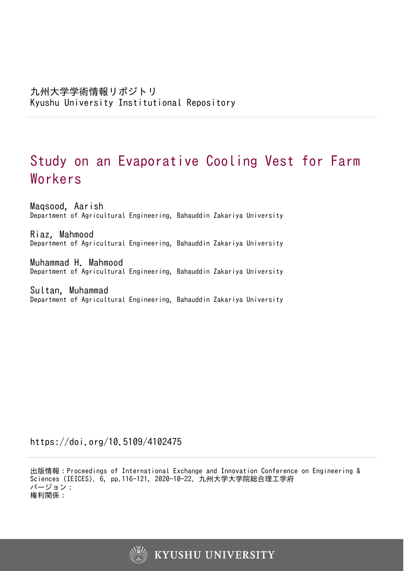# Study on an Evaporative Cooling Vest for Farm Workers

Maqsood, Aarish Department of Agricultural Engineering, Bahauddin Zakariya University

Riaz, Mahmood Department of Agricultural Engineering, Bahauddin Zakariya University

Muhammad H. Mahmood Department of Agricultural Engineering, Bahauddin Zakariya University

Sultan, Muhammad Department of Agricultural Engineering, Bahauddin Zakariya University

https://doi.org/10.5109/4102475

出版情報:Proceedings of International Exchange and Innovation Conference on Engineering & Sciences (IEICES). 6, pp.116-121, 2020-10-22. 九州大学大学院総合理工学府 バージョン: 権利関係:

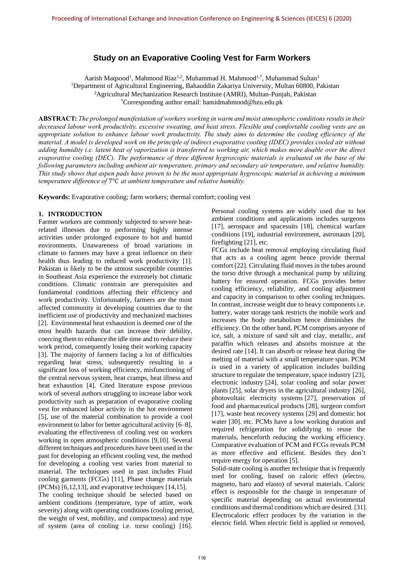# **Study on an Evaporative Cooling Vest for Farm Workers**

Aarish Maqsood<sup>1</sup>, Mahmood Riaz<sup>1,2</sup>, Muhammad H. Mahmood<sup>1,\*</sup>, Muhammad Sultan<sup>1</sup> <sup>1</sup>Department of Agricultural Engineering, Bahauddin Zakariya University, Multan 60800, Pakistan <sup>2</sup>Agricultural Mechanization Research Institute (AMRI), Multan-Punjab, Pakistan \*Corresponding author email: [hamidmahmood@bzu.edu.pk](mailto:hamidmahmood@bzu.edu.pk)

**ABSTRACT:** *The prolonged manifestation of workers working in warm and moist atmospheric conditions results in their decreased labour work productivity, excessive sweating, and heat stress. Flexible and comfortable cooling vests are an appropriate solution to enhance labour work productivity. The study aims to determine the cooling efficiency of the material. A model is developed work on the principle of indirect evaporative cooling (IDEC) provides cooled air without adding humidity i.e. latent heat of vaporization is transferred to working air, which makes more doable over the direct evaporative cooling (DEC). The performance of three different hygroscopic materials is evaluated on the base of the following parameters including ambient air temperature, primary and secondary air temperature, and relative humidity. This study shows that aspen pads have proven to be the most appropriate hygroscopic material in achieving a minimum temperature difference of* 7° *at ambient temperature and relative humidity.*

**Keywords:** Evaporative cooling; farm workers; thermal comfort; cooling vest

### **1. INTRODUCTION**

Farmer workers are commonly subjected to severe heatrelated illnesses due to performing highly intense activities under prolonged exposure to hot and humid environments. Unawareness of broad variations in climate to farmers may have a great influence on their health thus leading to reduced work productivity [1]. Pakistan is likely to be the utmost susceptible countries in Southeast Asia experience the extremely hot climatic conditions. Climatic constrain are prerequisites and fundamental conditions affecting their efficiency and work productivity. Unfortunately, farmers are the most affected community in developing countries due to the inefficient use of productivity and mechanized machines [2]. Environmental heat exhaustion is deemed one of the most health hazards that can increase their debility, coercing them to enhance the idle time and to reduce their work period, consequently losing their working capacity [3]. The majority of farmers facing a lot of difficulties regarding heat stress, subsequently resulting in a significant loss of working efficiency, misfunctioning of the central nervous system, heat cramps, heat illness and heat exhaustion [4]. Cited literature expose previous work of several authors struggling to increase labor work productivity such as preparation of evaporative cooling vest for enhanced labor activity in the hot environment [5], use of the material combination to provide a cool environment to labor for better agricultural activity [6–8], evaluating the effectiveness of cooling vest on workers working in open atmospheric conditions [9,10]. Several different techniques and procedures have been used in the past for developing an efficient cooling vest, the method for developing a cooling vest varies from material to material. The techniques used in past includes Fluid cooling garments (FCGs) [11], Phase change materials (PCMs) [6,12,13], and evaporative techniques [14,15].

The cooling technique should be selected based on ambient conditions (temperature, type of attire, work severity) along with operating conditions (cooling period, the weight of vest, mobility, and compactness) and type of system (area of cooling i.e. torso cooling) [16].

Personal cooling systems are widely used due to hot ambient conditions and applications includes surgeons [17], aerospace and spacesuits [18], chemical warfare conditions [19], industrial environment, astronauts [20], firefighting [21], etc.

FCGs include heat removal employing circulating fluid that acts as a cooling agent hence provide thermal comfort [22]. Circulating fluid moves in the tubes around the torso drive through a mechanical pump by utilizing battery for ensured operation. FCGs provides better cooling efficiency, reliability, and cooling adjustment and capacity in comparison to other cooling techniques. In contrast, increase weight due to heavy components i.e. battery, water storage tank restricts the mobile work and increases the body metabolism hence diminishes the efficiency. On the other hand, PCM comprises anyone of ice, salt, a mixture of sand silt and clay, metallic, and paraffin which releases and absorbs moisture at the desired rate [14]. It can absorb or release heat during the melting of material with a small temperature span. PCM is used in a variety of application includes building structure to regulate the temperature, space industry [23], electronic industry [24], solar cooling and solar power plants [25], solar dryers in the agricultural industry [26], photovoltaic electricity systems [27], preservation of food and pharmaceutical products [28], surgeon comfort [17], waste heat recovery systems [29] and domestic hot water [30]. etc. PCMs have a low working duration and required refrigeration for solidifying to reuse the materials, henceforth reducing the working efficiency. Comparative evaluation of PCM and FCGs reveals PCM as more effective and efficient. Besides they don't require energy for operation [5].

Solid-state cooling is another technique that is frequently used for cooling, based on caloric effect (electro, magneto, baro and elasto) of several materials. Caloric effect is responsible for the change in temperature of specific material depending on actual environmental conditions and thermal conditions which are desired. [31]. Electrocaloric effect produces by the variation in the electric field. When electric field is applied or removed,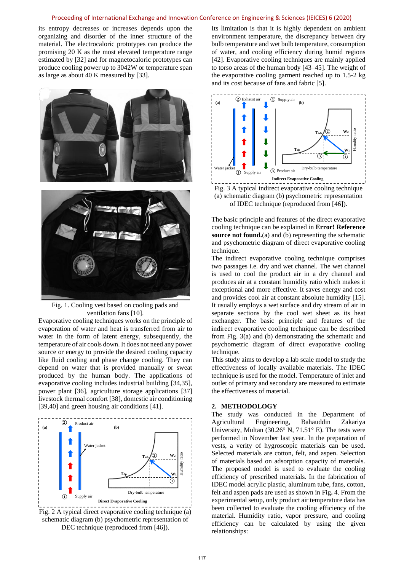its entropy decreases or increases depends upon the organizing and disorder of the inner structure of the material. The electrocaloric prototypes can produce the promising 20 K as the most elevated temperature range estimated by [32] and for magnetocaloric prototypes can produce cooling power up to 3042W or temperature span as large as about 40 K measured by [33].





Fig. 1. Cooling vest based on cooling pads and ventilation fans [10].

Evaporative cooling techniques works on the principle of evaporation of water and heat is transferred from air to water in the form of latent energy, subsequently, the temperature of air cools down. It does not need any power source or energy to provide the desired cooling capacity like fluid cooling and phase change cooling. They can depend on water that is provided manually or sweat produced by the human body. The applications of evaporative cooling includes industrial building [34,35], power plant [36], agriculture storage applications [37] livestock thermal comfort [38], domestic air conditioning [39,40] and green housing air conditions [41].



Fig. 2 A typical direct evaporative cooling technique (a) schematic diagram (b) psychometric representation of DEC technique (reproduced from [46]).

Its limitation is that it is highly dependent on ambient environment temperature, the discrepancy between dry bulb temperature and wet bulb temperature, consumption of water, and cooling efficiency during humid regions [42]. Evaporative cooling techniques are mainly applied to torso areas of the human body [43–45]. The weight of the evaporative cooling garment reached up to 1.5-2 kg and its cost because of fans and fabric [5].



<span id="page-2-0"></span>Fig. 3 A typical indirect evaporative cooling technique (a) schematic diagram (b) psychometric representation of IDEC technique (reproduced from [46]).

The basic principle and features of the direct evaporative cooling technique can be explained in **Error! Reference source not found.**(a) and (b) representing the schematic and psychometric diagram of direct evaporative cooling technique.

The indirect evaporative cooling technique comprises two passages i.e. dry and wet channel. The wet channel is used to cool the product air in a dry channel and produces air at a constant humidity ratio which makes it exceptional and more effective. It saves energy and cost and provides cool air at constant absolute humidity [15]. It usually employs a wet surface and dry stream of air in separate sections by the cool wet sheet as its heat exchanger. The basic principle and features of the indirect evaporative cooling technique can be described from [Fig. 3\(](#page-2-0)a) and (b) demonstrating the schematic and psychometric diagram of direct evaporative cooling technique.

This study aims to develop a lab scale model to study the effectiveness of locally available materials. The IDEC technique is used for the model. Temperature of inlet and outlet of primary and secondary are measured to estimate the effectiveness of material.

#### **2. METHODOLOGY**

The study was conducted in the Department of Agricultural Engineering, Bahauddin Zakariya University, Multan (30.26° N, 71.51° E). The tests were performed in November last year. In the preparation of vests, a verity of hygroscopic materials can be used. Selected materials are cotton, felt, and aspen. Selection of materials based on adsorption capacity of materials. The proposed model is used to evaluate the cooling efficiency of prescribed materials. In the fabrication of IDEC model acrylic plastic, aluminum tube, fans, cotton, felt and aspen pads are used as shown i[n Fig](#page-3-0)**.** 4. From the experimental setup, only product air temperature data has been collected to evaluate the cooling efficiency of the material. Humidity ratio, vapor pressure, and cooling efficiency can be calculated by using the given relationships: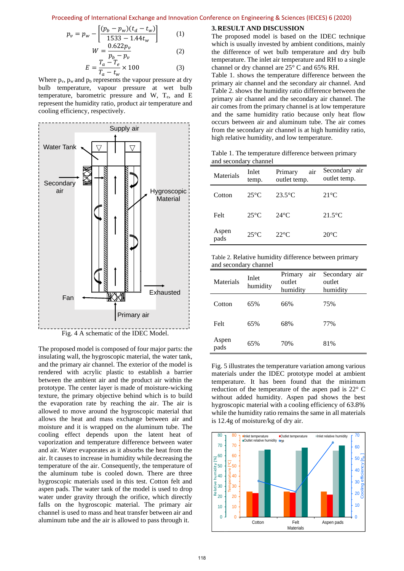$$
p_v = p_w - \left[ \frac{(p_b - p_w)(t_d - t_w)}{1533 - 1.44t_w} \right] \tag{1}
$$

$$
W = \frac{0.622p_v}{p_b - p_v}
$$
 (2)  

$$
F = \frac{T_a - T_e}{T_a - T_e} \times 100
$$
 (3)

$$
E = \frac{t_a - t_e}{T_a - t_w} \times 100\tag{3}
$$

Where  $p_v$ ,  $p_w$  and  $p_b$  represents the vapour pressure at dry bulb temperature, vapour pressure at wet bulb temperature, barometric pressure and W, Te, and E represent the humidity ratio, product air temperature and cooling efficiency, respectively.



<span id="page-3-0"></span>The proposed model is composed of four major parts: the insulating wall, the hygroscopic material, the water tank, and the primary air channel. The exterior of the model is rendered with acrylic plastic to establish a barrier between the ambient air and the product air within the prototype. The center layer is made of moisture-wicking texture, the primary objective behind which is to build the evaporation rate by reaching the air. The air is allowed to move around the hygroscopic material that allows the heat and mass exchange between air and moisture and it is wrapped on the aluminum tube. The cooling effect depends upon the latent heat of vaporization and temperature difference between water and air. Water evaporates as it absorbs the heat from the air. It causes to increase in humidity while decreasing the temperature of the air. Consequently, the temperature of the aluminum tube is cooled down. There are three hygroscopic materials used in this test. Cotton felt and aspen pads. The water tank of the model is used to drop water under gravity through the orifice, which directly falls on the hygroscopic material. The primary air channel is used to mass and heat transfer between air and aluminum tube and the air is allowed to pass through it.

#### **3. RESULT AND DISCUSSION**

The proposed model is based on the IDEC technique which is usually invested by ambient conditions, mainly the difference of wet bulb temperature and dry bulb temperature. The inlet air temperature and RH to a single channel or dry channel are 25° C and 65% RH.

[Table 1.](#page-3-1) shows the temperature difference between the primary air channel and the secondary air channel. And [Table 2.](#page-3-2) shows the humidity ratio difference between the primary air channel and the secondary air channel. The air comes from the primary channel is at low temperature and the same humidity ratio because only heat flow occurs between air and aluminum tube. The air comes from the secondary air channel is at high humidity ratio, high relative humidity, and low temperature.

<span id="page-3-1"></span>Table 1. The temperature difference between primary and secondary channel

| Materials     | Inlet<br>temp. | Primary<br>air<br>outlet temp. | Secondary air<br>outlet temp. |
|---------------|----------------|--------------------------------|-------------------------------|
| Cotton        | $25^{\circ}$ C | $23.5^{\circ}$ C               | $21^{\circ}$ C                |
| Felt          | $25^{\circ}$ C | $24^{\circ}$ C                 | $21.5^{\circ}$ C              |
| Aspen<br>pads | $25^{\circ}$ C | $22^{\circ}$ C                 | $20^{\circ}$ C                |

<span id="page-3-2"></span>Table 2. Relative humidity difference between primary and secondary channel

| Materials     | Inlet<br>humidity | Primary<br>air<br>outlet<br>humidity | Secondary<br>air<br>outlet<br>humidity |
|---------------|-------------------|--------------------------------------|----------------------------------------|
| Cotton        | 65%               | 66%                                  | 75%                                    |
| Felt          | 65%               | 68%                                  | 77%                                    |
| Aspen<br>pads | 65%               | 70%                                  | 81%                                    |

[Fig. 5](#page-4-0) illustrates the temperature variation among various materials under the IDEC prototype model at ambient temperature. It has been found that the minimum reduction of the temperature of the aspen pad is 22° C without added humidity. Aspen pad shows the best hygroscopic material with a cooling efficiency of 63.8% while the humidity ratio remains the same in all materials is 12.4g of moisture/kg of dry air.

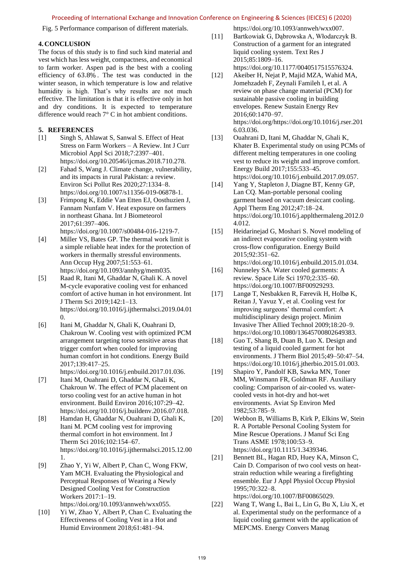<span id="page-4-0"></span>Fig. 5 Performance comparison of different materials.

#### **4. CONCLUSION**

The focus of this study is to find such kind material and vest which has less weight, compactness, and economical to farm worker. Aspen pad is the best with a cooling efficiency of 63.8% . The test was conducted in the winter season, in which temperature is low and relative humidity is high. That's why results are not much effective. The limitation is that it is effective only in hot and dry conditions. It is expected to temperature difference would reach 7° C in hot ambient conditions.

# **5. REFERENCES**

- [1] Singh S, Ahlawat S, Sanwal S. Effect of Heat Stress on Farm Workers – A Review. Int J Curr Microbiol Appl Sci 2018;7:2397–401. https://doi.org/10.20546/ijcmas.2018.710.278.
- [2] Fahad S, Wang J. Climate change, vulnerability, and its impacts in rural Pakistan: a review. Environ Sci Pollut Res 2020;27:1334–8. https://doi.org/10.1007/s11356-019-06878-1.
- [3] Frimpong K, Eddie Van Etten EJ, Oosthuzien J, Fannam Nunfam V. Heat exposure on farmers in northeast Ghana. Int J Biometeorol 2017;61:397–406. https://doi.org/10.1007/s00484-016-1219-7.
- [4] Miller VS, Bates GP. The thermal work limit is a simple reliable heat index for the protection of workers in thermally stressful environments. Ann Occup Hyg 2007;51:553–61. https://doi.org/10.1093/annhyg/mem035.
- [5] Raad R, Itani M, Ghaddar N, Ghali K. A novel M-cycle evaporative cooling vest for enhanced comfort of active human in hot environment. Int J Therm Sci 2019;142:1–13. https://doi.org/10.1016/j.ijthermalsci.2019.04.01  $\Omega$
- [6] Itani M, Ghaddar N, Ghali K, Ouahrani D, Chakroun W. Cooling vest with optimized PCM arrangement targeting torso sensitive areas that trigger comfort when cooled for improving human comfort in hot conditions. Energy Build 2017;139:417–25.

https://doi.org/10.1016/j.enbuild.2017.01.036.

- [7] Itani M, Ouahrani D, Ghaddar N, Ghali K, Chakroun W. The effect of PCM placement on torso cooling vest for an active human in hot environment. Build Environ 2016;107:29–42. https://doi.org/10.1016/j.buildenv.2016.07.018.
- [8] Hamdan H, Ghaddar N, Ouahrani D, Ghali K, Itani M. PCM cooling vest for improving thermal comfort in hot environment. Int J Therm Sci 2016;102:154–67. https://doi.org/10.1016/j.ijthermalsci.2015.12.00 1.
- [9] Zhao Y, Yi W, Albert P, Chan C, Wong FKW, Yam MCH. Evaluating the Physiological and Perceptual Responses of Wearing a Newly Designed Cooling Vest for Construction Workers 2017:1–19. https://doi.org/10.1093/annweh/wxx055.
- [10] Yi W, Zhao Y, Albert P, Chan C. Evaluating the Effectiveness of Cooling Vest in a Hot and Humid Environment 2018;61:481–94.

https://doi.org/10.1093/annweh/wxx007.

- [11] Bartkowiak G, Dąbrowska A, Włodarczyk B. Construction of a garment for an integrated liquid cooling system. Text Res J 2015;85:1809–16. https://doi.org/10.1177/0040517515576324.
- [12] Akeiber H, Nejat P, Majid MZA, Wahid MA, Jomehzadeh F, Zeynali Famileh I, et al. A review on phase change material (PCM) for sustainable passive cooling in building envelopes. Renew Sustain Energy Rev 2016;60:1470–97. https://doi.org/https://doi.org/10.1016/j.rser.201 6.03.036.
- [13] Ouahrani D, Itani M, Ghaddar N, Ghali K, Khater B. Experimental study on using PCMs of different melting temperatures in one cooling vest to reduce its weight and improve comfort. Energy Build 2017;155:533–45. https://doi.org/10.1016/j.enbuild.2017.09.057.
- [14] Yang Y, Stapleton J, Diagne BT, Kenny GP, Lan CQ. Man-portable personal cooling garment based on vacuum desiccant cooling. Appl Therm Eng 2012;47:18–24. https://doi.org/10.1016/j.applthermaleng.2012.0 4.012.
- [15] Heidarinejad G, Moshari S. Novel modeling of an indirect evaporative cooling system with cross-flow configuration. Energy Build 2015;92:351–62.
- https://doi.org/10.1016/j.enbuild.2015.01.034. [16] Nunneley SA. Water cooled garments: A review. Space Life Sci 1970;2:335–60. https://doi.org/10.1007/BF00929293.
- [17] Langø T, Nesbakken R, Færevik H, Holbø K, Reitan J, Yavuz Y, et al. Cooling vest for improving surgeons' thermal comfort: A multidisciplinary design project. Minim Invasive Ther Allied Technol 2009;18:20–9. https://doi.org/10.1080/13645700802649383.
- [18] Guo T, Shang B, Duan B, Luo X. Design and testing of a liquid cooled garment for hot environments. J Therm Biol 2015;49–50:47–54. https://doi.org/10.1016/j.jtherbio.2015.01.003.
- [19] Shapiro Y, Pandolf KB, Sawka MN, Toner MM, Winsmann FR, Goldman RF. Auxiliary cooling: Comparison of air-cooled vs. watercooled vests in hot-dry and hot-wet environments. Aviat Sp Environ Med 1982;53:785–9.
- [20] Webbon B, Williams B, Kirk P, Elkins W, Stein R. A Portable Personal Cooling System for Mine Rescue Operations. J Manuf Sci Eng Trans ASME 1978;100:53–9. https://doi.org/10.1115/1.3439346.
- [21] Bennett BL, Hagan RD, Huey KA, Minson C, Cain D. Comparison of two cool vests on heatstrain reduction while wearing a firefighting ensemble. Eur J Appl Physiol Occup Physiol 1995;70:322–8. https://doi.org/10.1007/BF00865029.
- [22] Wang T, Wang L, Bai L, Lin G, Bu X, Liu X, et al. Experimental study on the performance of a liquid cooling garment with the application of MEPCMS. Energy Convers Manag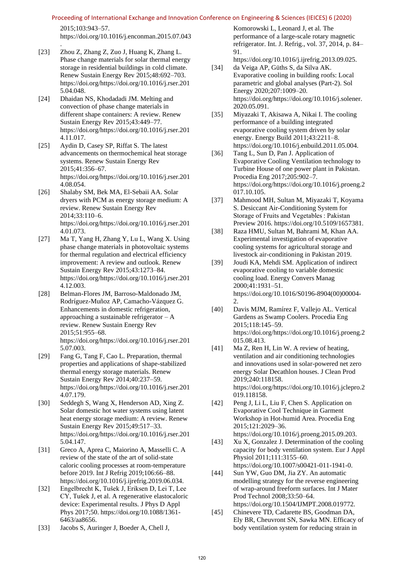2015;103:943–57.

https://doi.org/10.1016/j.enconman.2015.07.043

- . [23] Zhou Z, Zhang Z, Zuo J, Huang K, Zhang L. Phase change materials for solar thermal energy storage in residential buildings in cold climate. Renew Sustain Energy Rev 2015;48:692–703. https://doi.org/https://doi.org/10.1016/j.rser.201 5.04.048.
- [24] Dhaidan NS, Khodadadi JM. Melting and convection of phase change materials in different shape containers: A review. Renew Sustain Energy Rev 2015;43:449–77. https://doi.org/https://doi.org/10.1016/j.rser.201 4.11.017.
- [25] Aydin D, Casey SP, Riffat S. The latest advancements on thermochemical heat storage systems. Renew Sustain Energy Rev 2015;41:356–67. https://doi.org/https://doi.org/10.1016/j.rser.201 4.08.054.
- [26] Shalaby SM, Bek MA, El-Sebaii AA. Solar dryers with PCM as energy storage medium: A review. Renew Sustain Energy Rev 2014;33:110–6. https://doi.org/https://doi.org/10.1016/j.rser.201 4.01.073.
- [27] Ma T, Yang H, Zhang Y, Lu L, Wang X. Using phase change materials in photovoltaic systems for thermal regulation and electrical efficiency improvement: A review and outlook. Renew Sustain Energy Rev 2015;43:1273–84. https://doi.org/https://doi.org/10.1016/j.rser.201 4.12.003.
- [28] Belman-Flores JM, Barroso-Maldonado JM, Rodríguez-Muñoz AP, Camacho-Vázquez G. Enhancements in domestic refrigeration, approaching a sustainable refrigerator – A review. Renew Sustain Energy Rev 2015;51:955–68. https://doi.org/https://doi.org/10.1016/j.rser.201 5.07.003.
- [29] Fang G, Tang F, Cao L. Preparation, thermal properties and applications of shape-stabilized thermal energy storage materials. Renew Sustain Energy Rev 2014;40:237–59. https://doi.org/https://doi.org/10.1016/j.rser.201 4.07.179.
- [30] Seddegh S, Wang X, Henderson AD, Xing Z. Solar domestic hot water systems using latent heat energy storage medium: A review. Renew Sustain Energy Rev 2015;49:517–33. https://doi.org/https://doi.org/10.1016/j.rser.201 5.04.147.
- [31] Greco A, Aprea C, Maiorino A, Masselli C. A review of the state of the art of solid-state caloric cooling processes at room-temperature before 2019. Int J Refrig 2019;106:66–88. https://doi.org/10.1016/j.ijrefrig.2019.06.034.
- [32] Engelbrecht K, Tušek J, Eriksen D, Lei T, Lee CY, Tušek J, et al. A regenerative elastocaloric device: Experimental results. J Phys D Appl Phys 2017;50. https://doi.org/10.1088/1361- 6463/aa8656.
- [33] Jacobs S, Auringer J, Boeder A, Chell J,

Komorowski L, Leonard J, et al. The performance of a large-scale rotary magnetic refrigerator. Int. J. Refrig., vol. 37, 2014, p. 84– 91.

https://doi.org/10.1016/j.ijrefrig.2013.09.025. [34] da Veiga AP, Güths S, da Silva AK.

- Evaporative cooling in building roofs: Local parametric and global analyses (Part-2). Sol Energy 2020;207:1009–20. https://doi.org/https://doi.org/10.1016/j.solener. 2020.05.091.
- [35] Miyazaki T, Akisawa A, Nikai I. The cooling performance of a building integrated evaporative cooling system driven by solar energy. Energy Build 2011;43:2211–8. https://doi.org/10.1016/j.enbuild.2011.05.004.
- [36] Tang L, Sun D, Pan J. Application of Evaporative Cooling Ventilation technology to Turbine House of one power plant in Pakistan. Procedia Eng 2017;205:902–7. https://doi.org/https://doi.org/10.1016/j.proeng.2 017.10.105.
- [37] Mahmood MH, Sultan M, Miyazaki T, Koyama S. Desiccant Air-Conditioning System for Storage of Fruits and Vegetables : Pakistan Preview 2016. https://doi.org/10.5109/1657381.
- [38] Raza HMU, Sultan M, Bahrami M, Khan AA. Experimental investigation of evaporative cooling systems for agricultural storage and livestock air-conditioning in Pakistan 2019.
- [39] Joudi KA, Mehdi SM. Application of indirect evaporative cooling to variable domestic cooling load. Energy Convers Manag 2000;41:1931–51. https://doi.org/10.1016/S0196-8904(00)00004- 2.
- [40] Davis MJM, Ramírez F, Vallejo AL. Vertical Gardens as Swamp Coolers. Procedia Eng 2015;118:145–59. https://doi.org/https://doi.org/10.1016/j.proeng.2 015.08.413.
- [41] Ma Z, Ren H, Lin W. A review of heating, ventilation and air conditioning technologies and innovations used in solar-powered net zero energy Solar Decathlon houses. J Clean Prod 2019;240:118158. https://doi.org/https://doi.org/10.1016/j.jclepro.2 019.118158.
- [42] Peng J, Li L, Liu F, Chen S. Application on Evaporative Cool Technique in Garment Workshop in Hot-humid Area. Procedia Eng 2015;121:2029–36. https://doi.org/10.1016/j.proeng.2015.09.203.
- [43] Xu X, Gonzalez J. Determination of the cooling capacity for body ventilation system. Eur J Appl Physiol 2011;111:3155–60. https://doi.org/10.1007/s00421-011-1941-0.
- [44] Sun YW, Guo DM, Jia ZY. An automatic modelling strategy for the reverse engineering of wrap-around freeform surfaces. Int J Mater Prod Technol 2008;33:50–64. https://doi.org/10.1504/IJMPT.2008.019772.
- [45] Chinevere TD, Cadarette BS, Goodman DA, Ely BR, Cheuvront SN, Sawka MN. Efficacy of body ventilation system for reducing strain in